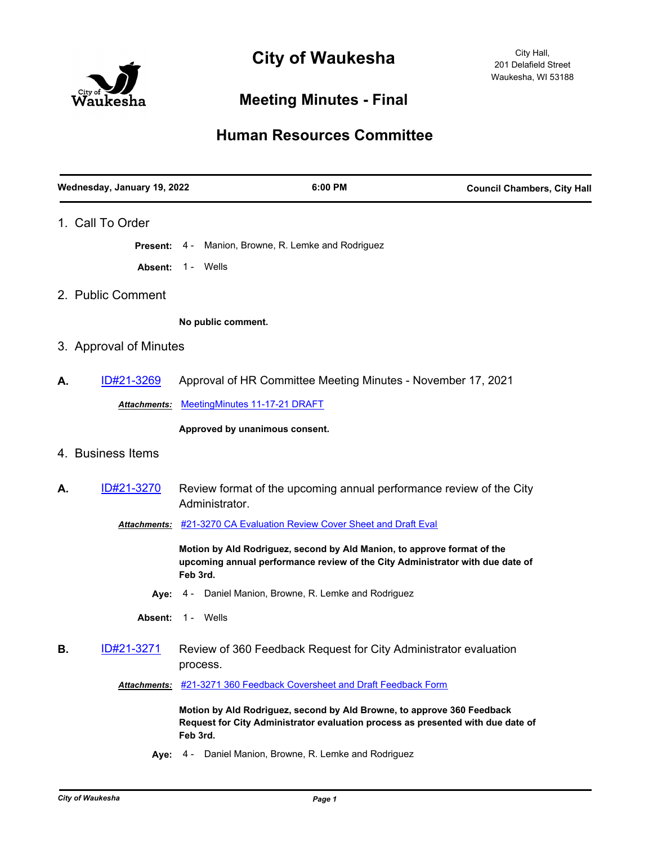

## **Meeting Minutes - Final**

## **Human Resources Committee**

|    | Wednesday, January 19, 2022 | 6:00 PM                                                                                                                                                               | <b>Council Chambers, City Hall</b> |
|----|-----------------------------|-----------------------------------------------------------------------------------------------------------------------------------------------------------------------|------------------------------------|
|    | 1. Call To Order            |                                                                                                                                                                       |                                    |
|    | Present:                    | Manion, Browne, R. Lemke and Rodriguez<br>4 -                                                                                                                         |                                    |
|    | Absent:                     | 1 - Wells                                                                                                                                                             |                                    |
|    | 2. Public Comment           |                                                                                                                                                                       |                                    |
|    |                             | No public comment.                                                                                                                                                    |                                    |
|    | 3. Approval of Minutes      |                                                                                                                                                                       |                                    |
| А. | <u>ID#21-3269</u>           | Approval of HR Committee Meeting Minutes - November 17, 2021                                                                                                          |                                    |
|    | Attachments:                | MeetingMinutes 11-17-21 DRAFT                                                                                                                                         |                                    |
|    |                             | Approved by unanimous consent.                                                                                                                                        |                                    |
|    | 4. Business Items           |                                                                                                                                                                       |                                    |
| Α. | ID#21-3270                  | Review format of the upcoming annual performance review of the City<br>Administrator.                                                                                 |                                    |
|    |                             | Attachments: #21-3270 CA Evaluation Review Cover Sheet and Draft Eval                                                                                                 |                                    |
|    |                             | Motion by Ald Rodriguez, second by Ald Manion, to approve format of the<br>upcoming annual performance review of the City Administrator with due date of<br>Feb 3rd.  |                                    |
|    |                             | Aye: 4 - Daniel Manion, Browne, R. Lemke and Rodriguez                                                                                                                |                                    |
|    | Absent:                     | 1 - Wells                                                                                                                                                             |                                    |
| В. | ID#21-3271                  | Review of 360 Feedback Request for City Administrator evaluation<br>process.                                                                                          |                                    |
|    | <b>Attachments:</b>         | #21-3271 360 Feedback Coversheet and Draft Feedback Form                                                                                                              |                                    |
|    |                             | Motion by Ald Rodriguez, second by Ald Browne, to approve 360 Feedback<br>Request for City Administrator evaluation process as presented with due date of<br>Feb 3rd. |                                    |

**Aye:** 4 - Daniel Manion, Browne, R. Lemke and Rodriguez